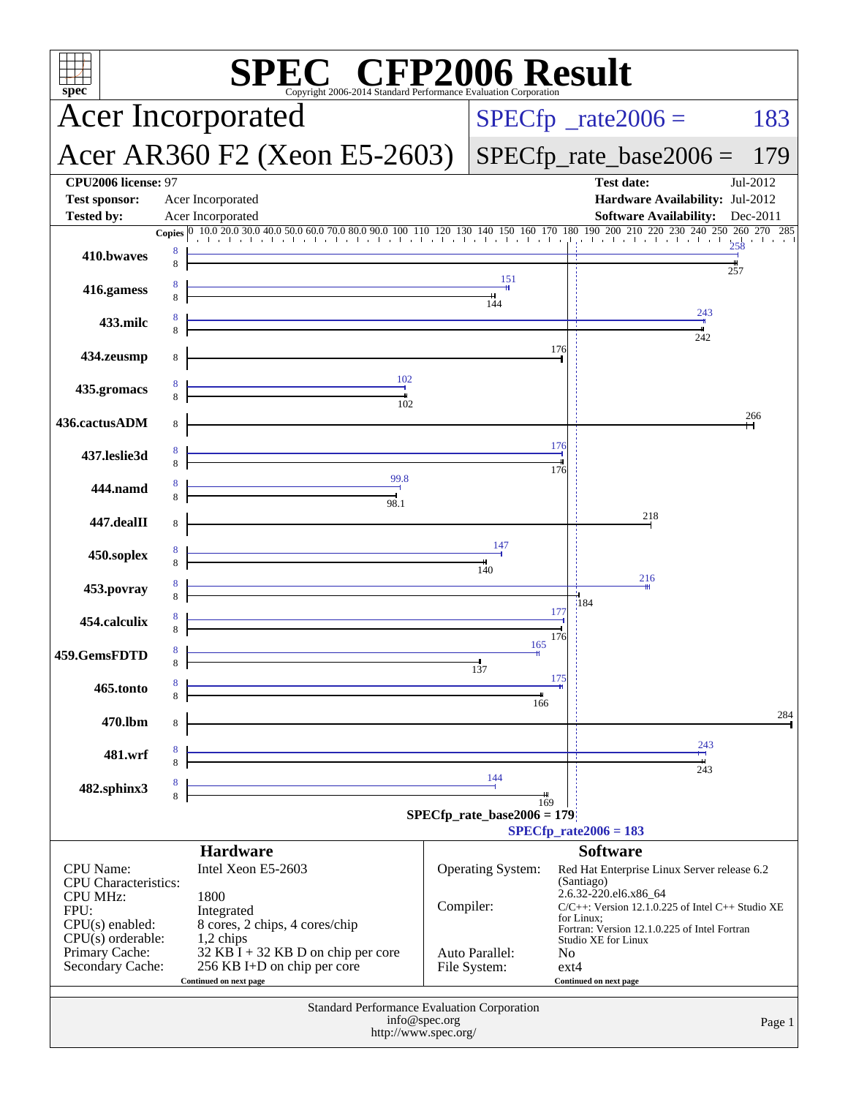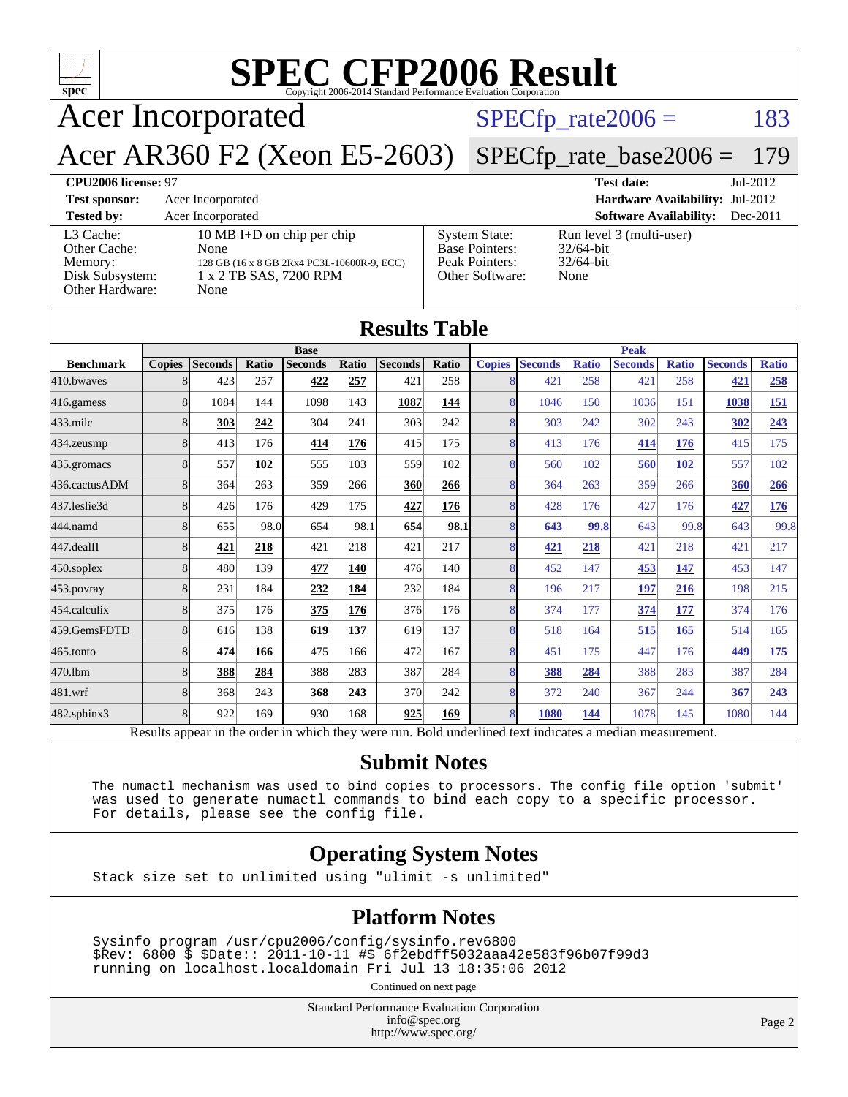| <b>SPEC CFP2006 Result</b><br>$spec^*$<br>Copyright 2006-2014 Standard Performance Evaluation Corporation |                                                                                                                    |  |                                                                             |                                                                  |            |  |  |  |
|-----------------------------------------------------------------------------------------------------------|--------------------------------------------------------------------------------------------------------------------|--|-----------------------------------------------------------------------------|------------------------------------------------------------------|------------|--|--|--|
| <b>Acer Incorporated</b>                                                                                  |                                                                                                                    |  |                                                                             | $SPECfp\_rate2006 =$                                             | 183        |  |  |  |
| Acer AR360 F2 (Xeon E5-2603)<br>$SPECfp_rate\_base2006 =$<br>179                                          |                                                                                                                    |  |                                                                             |                                                                  |            |  |  |  |
| CPU2006 license: 97<br><b>Test date:</b><br>$Jul-2012$                                                    |                                                                                                                    |  |                                                                             |                                                                  |            |  |  |  |
| <b>Test sponsor:</b>                                                                                      | Hardware Availability: Jul-2012<br>Acer Incorporated                                                               |  |                                                                             |                                                                  |            |  |  |  |
| <b>Tested by:</b>                                                                                         | Acer Incorporated                                                                                                  |  |                                                                             | <b>Software Availability:</b>                                    | $Dec-2011$ |  |  |  |
| L3 Cache:<br>Other Cache:<br>Memory:<br>Disk Subsystem:<br>Other Hardware:                                | 10 MB I+D on chip per chip<br>None<br>128 GB (16 x 8 GB 2Rx4 PC3L-10600R-9, ECC)<br>1 x 2 TB SAS, 7200 RPM<br>None |  | <b>System State:</b><br>Base Pointers:<br>Peak Pointers:<br>Other Software: | Run level 3 (multi-user)<br>$32/64$ -bit<br>$32/64$ -bit<br>None |            |  |  |  |
| <b>Results Table</b>                                                                                      |                                                                                                                    |  |                                                                             |                                                                  |            |  |  |  |
|                                                                                                           | <b>Base</b>                                                                                                        |  | <b>Peak</b>                                                                 |                                                                  |            |  |  |  |

|                                                                                                          | dasc          |                |       | 1 can          |       |                |             |                |                |              |                |              |                |              |
|----------------------------------------------------------------------------------------------------------|---------------|----------------|-------|----------------|-------|----------------|-------------|----------------|----------------|--------------|----------------|--------------|----------------|--------------|
| <b>Benchmark</b>                                                                                         | <b>Copies</b> | <b>Seconds</b> | Ratio | <b>Seconds</b> | Ratio | <b>Seconds</b> | Ratio       | <b>Copies</b>  | <b>Seconds</b> | <b>Ratio</b> | <b>Seconds</b> | <b>Ratio</b> | <b>Seconds</b> | <b>Ratio</b> |
| 410.bwayes                                                                                               | 8             | 423            | 257   | 422            | 257   | 421            | 258         | 8              | 421            | 258          | 421            | 258          | 421            | 258          |
| 416.gamess                                                                                               | 8             | 1084           | 144   | 1098           | 143   | 1087           | 144         | 8              | 1046           | 150          | 1036           | 151          | 1038           | <b>151</b>   |
| $433$ .milc                                                                                              | 8             | 303            | 242   | 304            | 241   | 303            | 242         | 8              | 303            | 242          | 302            | 243          | 302            | 243          |
| 434.zeusmp                                                                                               | 8             | 413            | 176   | 414            | 176   | 415            | 175         | 8              | 413            | 176          | 414            | 176          | 415            | 175          |
| 435.gromacs                                                                                              | 8             | 557            | 102   | 555            | 103   | 559            | 102         | 8              | 560            | 102          | 560            | 102          | 557            | 102          |
| 436.cactusADM                                                                                            | 8             | 364            | 263   | 359            | 266   | 360            | 266         | 8              | 364            | 263          | 359            | 266          | 360            | 266          |
| 437.leslie3d                                                                                             | 8             | 426            | 176   | 429            | 175   | 427            | 176         | 8              | 428            | 176          | 427            | 176          | 427            | <u>176</u>   |
| 444.namd                                                                                                 | 8             | 655            | 98.0  | 654            | 98.1  | 654            | <u>98.1</u> | 8              | 643            | 99.8         | 643            | 99.8         | 643            | 99.8         |
| 447.dealII                                                                                               | 8             | 421            | 218   | 421            | 218   | 421            | 217         | 8              | 421            | 218          | 421            | 218          | 421            | 217          |
| $450$ .soplex                                                                                            | 8             | 480            | 139   | 477            | 140   | 476            | 140         | 8              | 452            | 147          | 453            | 147          | 453            | 147          |
| $453$ .povray                                                                                            | 8             | 231            | 184   | 232            | 184   | 232            | 184         | 8              | 196            | 217          | 197            | 216          | 198            | 215          |
| 454.calculix                                                                                             | 8             | 375            | 176   | 375            | 176   | 376            | 176         | 8              | 374            | 177          | 374            | 177          | 374            | 176          |
| 459.GemsFDTD                                                                                             | 8             | 616            | 138   | 619            | 137   | 619            | 137         | 8              | 518            | 164          | 515            | 165          | 514            | 165          |
| 465.tonto                                                                                                | 8             | 474            | 166   | 475            | 166   | 472            | 167         | 8              | 451            | 175          | 447            | 176          | 449            | <u>175</u>   |
| 470.1bm                                                                                                  |               | 388            | 284   | 388            | 283   | 387            | 284         | 8              | 388            | 284          | 388            | 283          | 387            | 284          |
| 481.wrf                                                                                                  | 8             | 368            | 243   | 368            | 243   | 370            | 242         | 8              | 372            | 240          | 367            | 244          | 367            | 243          |
| 482.sphinx3                                                                                              | $\mathbf{8}$  | 922            | 169   | 930            | 168   | 925            | 169         | $\overline{8}$ | 1080           | 144          | 1078           | 145          | 1080           | 144          |
| Results appear in the order in which they were run. Bold underlined text indicates a median measurement. |               |                |       |                |       |                |             |                |                |              |                |              |                |              |

#### **[Submit Notes](http://www.spec.org/auto/cpu2006/Docs/result-fields.html#SubmitNotes)**

 The numactl mechanism was used to bind copies to processors. The config file option 'submit' was used to generate numactl commands to bind each copy to a specific processor. For details, please see the config file.

#### **[Operating System Notes](http://www.spec.org/auto/cpu2006/Docs/result-fields.html#OperatingSystemNotes)**

Stack size set to unlimited using "ulimit -s unlimited"

#### **[Platform Notes](http://www.spec.org/auto/cpu2006/Docs/result-fields.html#PlatformNotes)**

 Sysinfo program /usr/cpu2006/config/sysinfo.rev6800 \$Rev: 6800 \$ \$Date:: 2011-10-11 #\$ 6f2ebdff5032aaa42e583f96b07f99d3 running on localhost.localdomain Fri Jul 13 18:35:06 2012

Continued on next page

Standard Performance Evaluation Corporation [info@spec.org](mailto:info@spec.org) <http://www.spec.org/>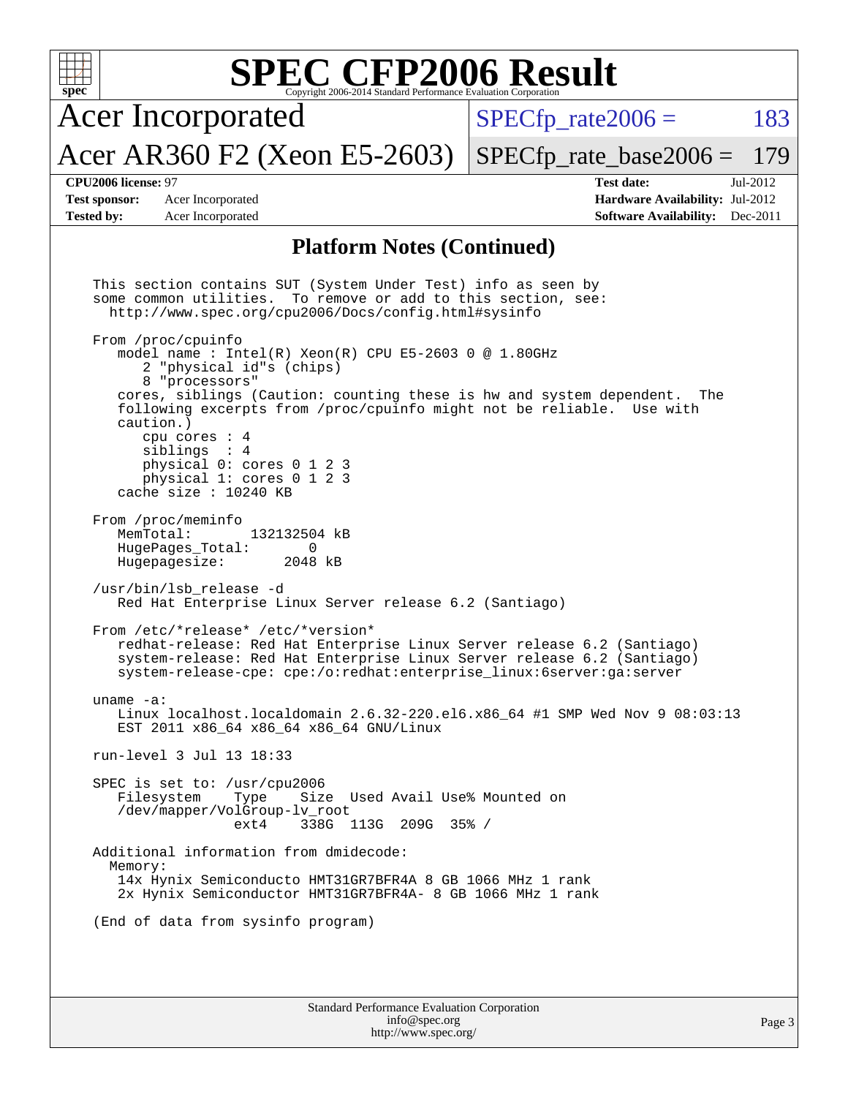| <b>SPEC CFP2006 Result</b><br>$spec^{\circ}$<br>Copyright 2006-2014 Standard Performance Evaluation Corporation |                                                                                                                                                                                                                                                                                                                                                                                                                                                                                                                                                                                                                                                                                                                                                                                                                                                                                                                                                                                                                                                                                                                                                                                                                                                                                                                                                                                                                                                                                                                                               |                                                                                                            |  |  |  |  |  |  |
|-----------------------------------------------------------------------------------------------------------------|-----------------------------------------------------------------------------------------------------------------------------------------------------------------------------------------------------------------------------------------------------------------------------------------------------------------------------------------------------------------------------------------------------------------------------------------------------------------------------------------------------------------------------------------------------------------------------------------------------------------------------------------------------------------------------------------------------------------------------------------------------------------------------------------------------------------------------------------------------------------------------------------------------------------------------------------------------------------------------------------------------------------------------------------------------------------------------------------------------------------------------------------------------------------------------------------------------------------------------------------------------------------------------------------------------------------------------------------------------------------------------------------------------------------------------------------------------------------------------------------------------------------------------------------------|------------------------------------------------------------------------------------------------------------|--|--|--|--|--|--|
|                                                                                                                 | <b>Acer Incorporated</b>                                                                                                                                                                                                                                                                                                                                                                                                                                                                                                                                                                                                                                                                                                                                                                                                                                                                                                                                                                                                                                                                                                                                                                                                                                                                                                                                                                                                                                                                                                                      | 183<br>$SPECfp\_rate2006 =$                                                                                |  |  |  |  |  |  |
|                                                                                                                 | Acer AR360 F2 (Xeon E5-2603)                                                                                                                                                                                                                                                                                                                                                                                                                                                                                                                                                                                                                                                                                                                                                                                                                                                                                                                                                                                                                                                                                                                                                                                                                                                                                                                                                                                                                                                                                                                  | $SPECfp_rate\_base2006 =$<br>179                                                                           |  |  |  |  |  |  |
| CPU2006 license: 97<br><b>Test sponsor:</b><br><b>Tested by:</b>                                                | Acer Incorporated<br>Acer Incorporated                                                                                                                                                                                                                                                                                                                                                                                                                                                                                                                                                                                                                                                                                                                                                                                                                                                                                                                                                                                                                                                                                                                                                                                                                                                                                                                                                                                                                                                                                                        | <b>Test date:</b><br>Jul-2012<br>Hardware Availability: Jul-2012<br><b>Software Availability:</b> Dec-2011 |  |  |  |  |  |  |
| <b>Platform Notes (Continued)</b>                                                                               |                                                                                                                                                                                                                                                                                                                                                                                                                                                                                                                                                                                                                                                                                                                                                                                                                                                                                                                                                                                                                                                                                                                                                                                                                                                                                                                                                                                                                                                                                                                                               |                                                                                                            |  |  |  |  |  |  |
| MemTotal:<br>uname $-a$ :<br>Memory:                                                                            | This section contains SUT (System Under Test) info as seen by<br>some common utilities. To remove or add to this section, see:<br>http://www.spec.org/cpu2006/Docs/config.html#sysinfo<br>From /proc/cpuinfo<br>model name : Intel(R) Xeon(R) CPU E5-2603 0 @ 1.80GHz<br>2 "physical id"s (chips)<br>8 "processors"<br>cores, siblings (Caution: counting these is hw and system dependent.<br>following excerpts from /proc/cpuinfo might not be reliable. Use with<br>caution.)<br>cpu cores $: 4$<br>sibling: 4<br>physical 0: cores 0 1 2 3<br>physical 1: cores 0 1 2 3<br>cache size : $10240$ KB<br>From /proc/meminfo<br>132132504 kB<br>HugePages_Total:<br>0<br>Hugepagesize:<br>2048 kB<br>/usr/bin/lsb_release -d<br>Red Hat Enterprise Linux Server release 6.2 (Santiago)<br>From /etc/*release* /etc/*version*<br>redhat-release: Red Hat Enterprise Linux Server release 6.2 (Santiago)<br>system-release: Red Hat Enterprise Linux Server release 6.2 (Santiago)<br>system-release-cpe: cpe:/o:redhat:enterprise_linux:6server:ga:server<br>Linux localhost.localdomain 2.6.32-220.el6.x86_64 #1 SMP Wed Nov 9 08:03:13<br>EST 2011 x86 64 x86 64 x86 64 GNU/Linux<br>run-level 3 Jul 13 18:33<br>SPEC is set to: /usr/cpu2006<br>Filesystem<br>Size Used Avail Use% Mounted on<br>Type<br>/dev/mapper/VolGroup-lv_root<br>ext4<br>338G 113G 209G 35% /<br>Additional information from dmidecode:<br>14x Hynix Semiconducto HMT31GR7BFR4A 8 GB 1066 MHz 1 rank<br>2x Hynix Semiconductor HMT31GR7BFR4A- 8 GB 1066 MHz 1 rank | The                                                                                                        |  |  |  |  |  |  |
|                                                                                                                 | (End of data from sysinfo program)                                                                                                                                                                                                                                                                                                                                                                                                                                                                                                                                                                                                                                                                                                                                                                                                                                                                                                                                                                                                                                                                                                                                                                                                                                                                                                                                                                                                                                                                                                            |                                                                                                            |  |  |  |  |  |  |
|                                                                                                                 |                                                                                                                                                                                                                                                                                                                                                                                                                                                                                                                                                                                                                                                                                                                                                                                                                                                                                                                                                                                                                                                                                                                                                                                                                                                                                                                                                                                                                                                                                                                                               |                                                                                                            |  |  |  |  |  |  |
|                                                                                                                 | Standard Performance Evaluation Corporation<br>info@spec.org                                                                                                                                                                                                                                                                                                                                                                                                                                                                                                                                                                                                                                                                                                                                                                                                                                                                                                                                                                                                                                                                                                                                                                                                                                                                                                                                                                                                                                                                                  | Page 3                                                                                                     |  |  |  |  |  |  |

<http://www.spec.org/>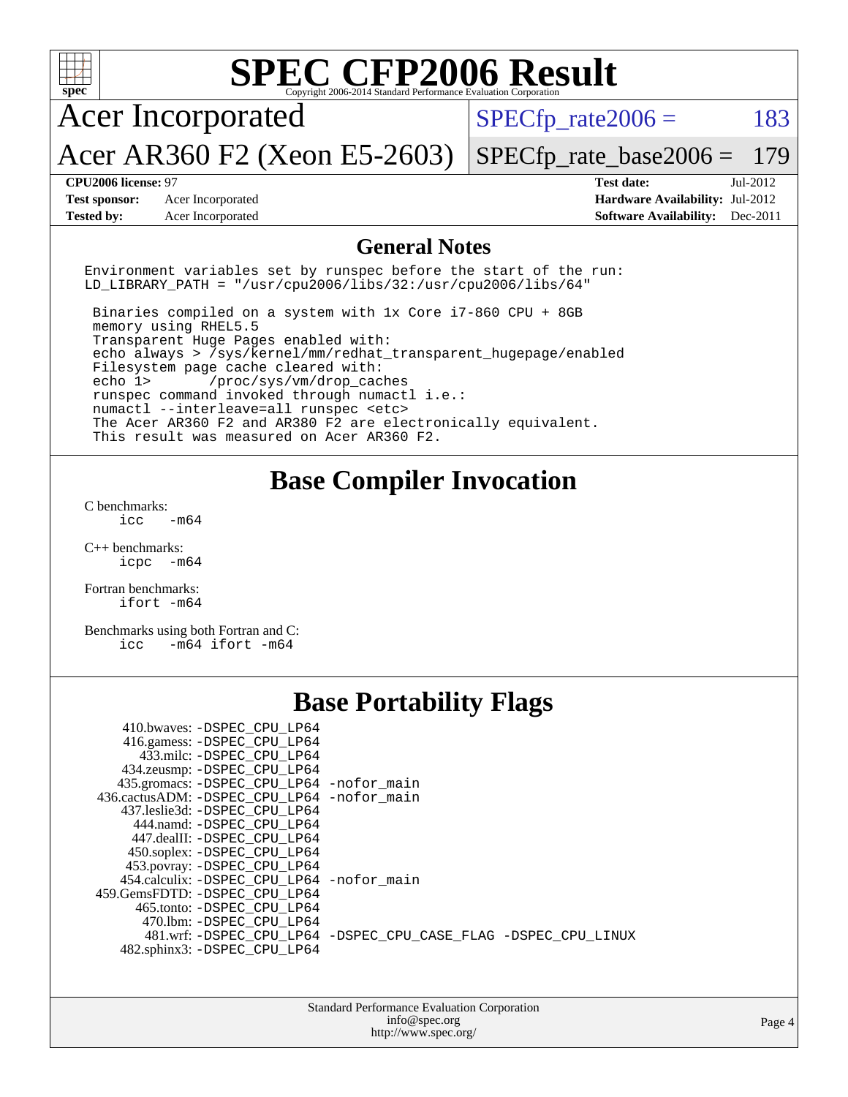| $spec^*$                                                                                                                                                                                                                                                                                                                                                                                                                                                                                                                                                                                                                | Copyright 2006-2014 Standard Performance Evaluation Corporation                      | <b>SPEC CFP2006 Result</b> |                                        |
|-------------------------------------------------------------------------------------------------------------------------------------------------------------------------------------------------------------------------------------------------------------------------------------------------------------------------------------------------------------------------------------------------------------------------------------------------------------------------------------------------------------------------------------------------------------------------------------------------------------------------|--------------------------------------------------------------------------------------|----------------------------|----------------------------------------|
| <b>Acer Incorporated</b>                                                                                                                                                                                                                                                                                                                                                                                                                                                                                                                                                                                                |                                                                                      | $SPECfp\_rate2006 =$       | 183                                    |
| Acer AR360 F2 (Xeon E5-2603)                                                                                                                                                                                                                                                                                                                                                                                                                                                                                                                                                                                            |                                                                                      | $SPECfp\_rate\_base2006 =$ | 179                                    |
| CPU2006 license: 97                                                                                                                                                                                                                                                                                                                                                                                                                                                                                                                                                                                                     |                                                                                      | <b>Test date:</b>          | Jul-2012                               |
| <b>Test sponsor:</b><br>Acer Incorporated                                                                                                                                                                                                                                                                                                                                                                                                                                                                                                                                                                               |                                                                                      |                            | Hardware Availability: Jul-2012        |
| <b>Tested by:</b><br>Acer Incorporated                                                                                                                                                                                                                                                                                                                                                                                                                                                                                                                                                                                  |                                                                                      |                            | <b>Software Availability:</b> Dec-2011 |
|                                                                                                                                                                                                                                                                                                                                                                                                                                                                                                                                                                                                                         | <b>General Notes</b>                                                                 |                            |                                        |
| Environment variables set by runspec before the start of the run:<br>LD_LIBRARY_PATH = "/usr/cpu2006/libs/32:/usr/cpu2006/libs/64"                                                                                                                                                                                                                                                                                                                                                                                                                                                                                      |                                                                                      |                            |                                        |
| Binaries compiled on a system with 1x Core i7-860 CPU + 8GB<br>memory using RHEL5.5<br>Transparent Huge Pages enabled with:<br>echo always > /sys/kernel/mm/redhat_transparent_hugepage/enabled<br>Filesystem page cache cleared with:<br>/proc/sys/vm/drop_caches<br>echo 1<br>runspec command invoked through numactl i.e.:<br>numactl --interleave=all runspec <etc><br/>The Acer AR360 F2 and AR380 F2 are electronically equivalent.<br/>This result was measured on Acer AR360 F2.</etc>                                                                                                                          |                                                                                      |                            |                                        |
| C benchmarks:<br>icc<br>$-m64$<br>$C_{++}$ benchmarks:<br>$icpc$ $-m64$<br>Fortran benchmarks:<br>ifort -m64<br>Benchmarks using both Fortran and C:<br>$-m64$ ifort $-m64$<br>icc                                                                                                                                                                                                                                                                                                                                                                                                                                      | <b>Base Compiler Invocation</b>                                                      |                            |                                        |
|                                                                                                                                                                                                                                                                                                                                                                                                                                                                                                                                                                                                                         | <b>Base Portability Flags</b>                                                        |                            |                                        |
| 410.bwaves: -DSPEC_CPU_LP64<br>416.gamess: -DSPEC_CPU_LP64<br>433.milc: -DSPEC_CPU_LP64<br>434.zeusmp: -DSPEC_CPU_LP64<br>435.gromacs: -DSPEC_CPU_LP64 -nofor_main<br>436.cactusADM: -DSPEC_CPU_LP64 -nofor_main<br>437.leslie3d: -DSPEC CPU LP64<br>444.namd: - DSPEC CPU LP64<br>447.dealII: -DSPEC_CPU_LP64<br>450.soplex: - DSPEC_CPU_LP64<br>453.povray: -DSPEC_CPU_LP64<br>454.calculix: -DSPEC_CPU_LP64 -nofor_main<br>459.GemsFDTD: -DSPEC_CPU_LP64<br>465.tonto: -DSPEC_CPU_LP64<br>470.1bm: -DSPEC_CPU_LP64<br>481.wrf: -DSPEC_CPU_LP64 -DSPEC_CPU_CASE_FLAG -DSPEC_CPU_LINUX<br>482.sphinx3: -DSPEC_CPU_LP64 |                                                                                      |                            |                                        |
|                                                                                                                                                                                                                                                                                                                                                                                                                                                                                                                                                                                                                         | Standard Performance Evaluation Corporation<br>info@spec.org<br>http://www.spec.org/ |                            | Page 4                                 |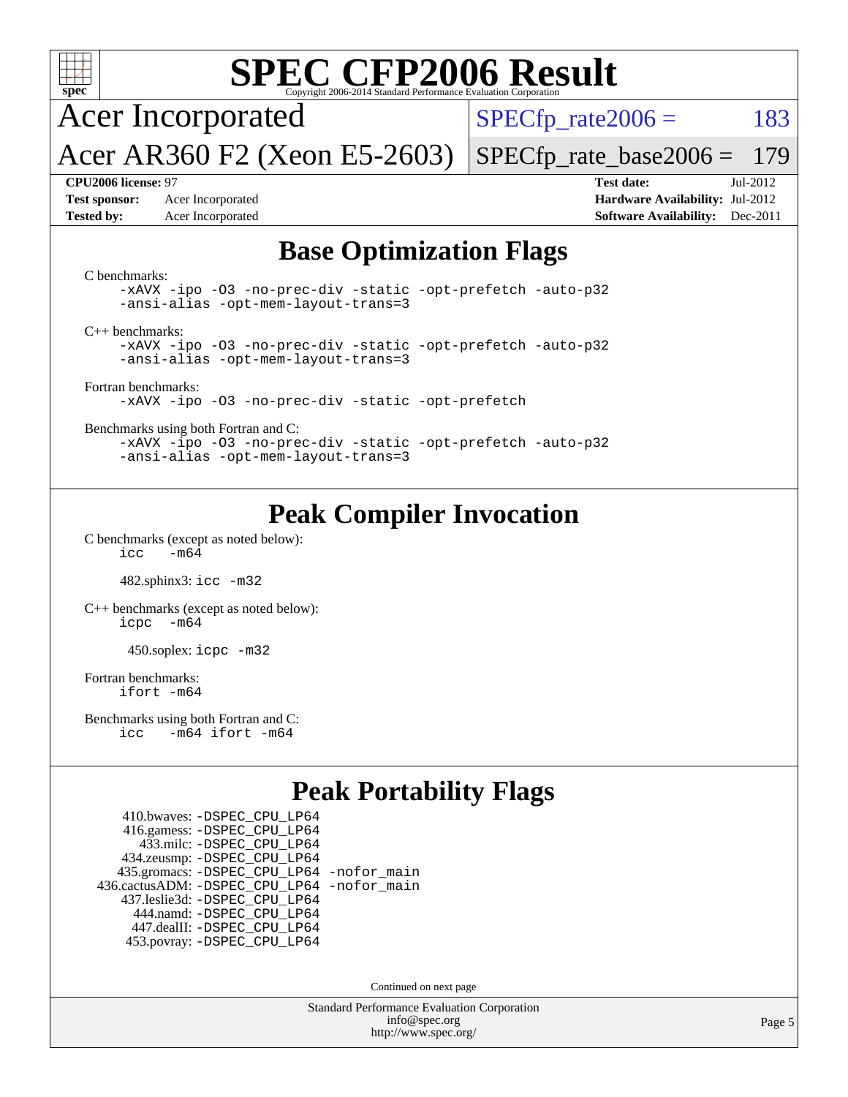

# **[SPEC CFP2006 Result](http://www.spec.org/auto/cpu2006/Docs/result-fields.html#SPECCFP2006Result)**

Acer Incorporated

 $SPECTp_rate2006 = 183$ 

Acer AR360 F2 (Xeon E5-2603) [SPECfp\\_rate\\_base2006 =](http://www.spec.org/auto/cpu2006/Docs/result-fields.html#SPECfpratebase2006) 179

**[Test sponsor:](http://www.spec.org/auto/cpu2006/Docs/result-fields.html#Testsponsor)** Acer Incorporated **[Hardware Availability:](http://www.spec.org/auto/cpu2006/Docs/result-fields.html#HardwareAvailability)** Jul-2012

**[CPU2006 license:](http://www.spec.org/auto/cpu2006/Docs/result-fields.html#CPU2006license)** 97 **[Test date:](http://www.spec.org/auto/cpu2006/Docs/result-fields.html#Testdate)** Jul-2012 **[Tested by:](http://www.spec.org/auto/cpu2006/Docs/result-fields.html#Testedby)** Acer Incorporated **[Software Availability:](http://www.spec.org/auto/cpu2006/Docs/result-fields.html#SoftwareAvailability)** Dec-2011

#### **[Base Optimization Flags](http://www.spec.org/auto/cpu2006/Docs/result-fields.html#BaseOptimizationFlags)**

[C benchmarks](http://www.spec.org/auto/cpu2006/Docs/result-fields.html#Cbenchmarks): [-xAVX](http://www.spec.org/cpu2006/results/res2012q3/cpu2006-20120717-23776.flags.html#user_CCbase_f-xAVX) [-ipo](http://www.spec.org/cpu2006/results/res2012q3/cpu2006-20120717-23776.flags.html#user_CCbase_f-ipo) [-O3](http://www.spec.org/cpu2006/results/res2012q3/cpu2006-20120717-23776.flags.html#user_CCbase_f-O3) [-no-prec-div](http://www.spec.org/cpu2006/results/res2012q3/cpu2006-20120717-23776.flags.html#user_CCbase_f-no-prec-div) [-static](http://www.spec.org/cpu2006/results/res2012q3/cpu2006-20120717-23776.flags.html#user_CCbase_f-static) [-opt-prefetch](http://www.spec.org/cpu2006/results/res2012q3/cpu2006-20120717-23776.flags.html#user_CCbase_f-opt-prefetch) [-auto-p32](http://www.spec.org/cpu2006/results/res2012q3/cpu2006-20120717-23776.flags.html#user_CCbase_f-auto-p32) [-ansi-alias](http://www.spec.org/cpu2006/results/res2012q3/cpu2006-20120717-23776.flags.html#user_CCbase_f-ansi-alias) [-opt-mem-layout-trans=3](http://www.spec.org/cpu2006/results/res2012q3/cpu2006-20120717-23776.flags.html#user_CCbase_f-opt-mem-layout-trans_a7b82ad4bd7abf52556d4961a2ae94d5) [C++ benchmarks:](http://www.spec.org/auto/cpu2006/Docs/result-fields.html#CXXbenchmarks) [-xAVX](http://www.spec.org/cpu2006/results/res2012q3/cpu2006-20120717-23776.flags.html#user_CXXbase_f-xAVX) [-ipo](http://www.spec.org/cpu2006/results/res2012q3/cpu2006-20120717-23776.flags.html#user_CXXbase_f-ipo) [-O3](http://www.spec.org/cpu2006/results/res2012q3/cpu2006-20120717-23776.flags.html#user_CXXbase_f-O3) [-no-prec-div](http://www.spec.org/cpu2006/results/res2012q3/cpu2006-20120717-23776.flags.html#user_CXXbase_f-no-prec-div) [-static](http://www.spec.org/cpu2006/results/res2012q3/cpu2006-20120717-23776.flags.html#user_CXXbase_f-static) [-opt-prefetch](http://www.spec.org/cpu2006/results/res2012q3/cpu2006-20120717-23776.flags.html#user_CXXbase_f-opt-prefetch) [-auto-p32](http://www.spec.org/cpu2006/results/res2012q3/cpu2006-20120717-23776.flags.html#user_CXXbase_f-auto-p32) [-ansi-alias](http://www.spec.org/cpu2006/results/res2012q3/cpu2006-20120717-23776.flags.html#user_CXXbase_f-ansi-alias) [-opt-mem-layout-trans=3](http://www.spec.org/cpu2006/results/res2012q3/cpu2006-20120717-23776.flags.html#user_CXXbase_f-opt-mem-layout-trans_a7b82ad4bd7abf52556d4961a2ae94d5) [Fortran benchmarks](http://www.spec.org/auto/cpu2006/Docs/result-fields.html#Fortranbenchmarks): [-xAVX](http://www.spec.org/cpu2006/results/res2012q3/cpu2006-20120717-23776.flags.html#user_FCbase_f-xAVX) [-ipo](http://www.spec.org/cpu2006/results/res2012q3/cpu2006-20120717-23776.flags.html#user_FCbase_f-ipo) [-O3](http://www.spec.org/cpu2006/results/res2012q3/cpu2006-20120717-23776.flags.html#user_FCbase_f-O3) [-no-prec-div](http://www.spec.org/cpu2006/results/res2012q3/cpu2006-20120717-23776.flags.html#user_FCbase_f-no-prec-div) [-static](http://www.spec.org/cpu2006/results/res2012q3/cpu2006-20120717-23776.flags.html#user_FCbase_f-static) [-opt-prefetch](http://www.spec.org/cpu2006/results/res2012q3/cpu2006-20120717-23776.flags.html#user_FCbase_f-opt-prefetch) [Benchmarks using both Fortran and C](http://www.spec.org/auto/cpu2006/Docs/result-fields.html#BenchmarksusingbothFortranandC): [-xAVX](http://www.spec.org/cpu2006/results/res2012q3/cpu2006-20120717-23776.flags.html#user_CC_FCbase_f-xAVX) [-ipo](http://www.spec.org/cpu2006/results/res2012q3/cpu2006-20120717-23776.flags.html#user_CC_FCbase_f-ipo) [-O3](http://www.spec.org/cpu2006/results/res2012q3/cpu2006-20120717-23776.flags.html#user_CC_FCbase_f-O3) [-no-prec-div](http://www.spec.org/cpu2006/results/res2012q3/cpu2006-20120717-23776.flags.html#user_CC_FCbase_f-no-prec-div) [-static](http://www.spec.org/cpu2006/results/res2012q3/cpu2006-20120717-23776.flags.html#user_CC_FCbase_f-static) [-opt-prefetch](http://www.spec.org/cpu2006/results/res2012q3/cpu2006-20120717-23776.flags.html#user_CC_FCbase_f-opt-prefetch) [-auto-p32](http://www.spec.org/cpu2006/results/res2012q3/cpu2006-20120717-23776.flags.html#user_CC_FCbase_f-auto-p32) [-ansi-alias](http://www.spec.org/cpu2006/results/res2012q3/cpu2006-20120717-23776.flags.html#user_CC_FCbase_f-ansi-alias) [-opt-mem-layout-trans=3](http://www.spec.org/cpu2006/results/res2012q3/cpu2006-20120717-23776.flags.html#user_CC_FCbase_f-opt-mem-layout-trans_a7b82ad4bd7abf52556d4961a2ae94d5)

## **[Peak Compiler Invocation](http://www.spec.org/auto/cpu2006/Docs/result-fields.html#PeakCompilerInvocation)**

[C benchmarks \(except as noted below\)](http://www.spec.org/auto/cpu2006/Docs/result-fields.html#Cbenchmarksexceptasnotedbelow):  $\text{icc}$  -m64

482.sphinx3: [icc -m32](http://www.spec.org/cpu2006/results/res2012q3/cpu2006-20120717-23776.flags.html#user_peakCCLD482_sphinx3_intel_icc_a6a621f8d50482236b970c6ac5f55f93)

[C++ benchmarks \(except as noted below\):](http://www.spec.org/auto/cpu2006/Docs/result-fields.html#CXXbenchmarksexceptasnotedbelow) [icpc -m64](http://www.spec.org/cpu2006/results/res2012q3/cpu2006-20120717-23776.flags.html#user_CXXpeak_intel_icpc_64bit_bedb90c1146cab66620883ef4f41a67e)

450.soplex: [icpc -m32](http://www.spec.org/cpu2006/results/res2012q3/cpu2006-20120717-23776.flags.html#user_peakCXXLD450_soplex_intel_icpc_4e5a5ef1a53fd332b3c49e69c3330699)

[Fortran benchmarks](http://www.spec.org/auto/cpu2006/Docs/result-fields.html#Fortranbenchmarks): [ifort -m64](http://www.spec.org/cpu2006/results/res2012q3/cpu2006-20120717-23776.flags.html#user_FCpeak_intel_ifort_64bit_ee9d0fb25645d0210d97eb0527dcc06e)

[Benchmarks using both Fortran and C](http://www.spec.org/auto/cpu2006/Docs/result-fields.html#BenchmarksusingbothFortranandC): [icc -m64](http://www.spec.org/cpu2006/results/res2012q3/cpu2006-20120717-23776.flags.html#user_CC_FCpeak_intel_icc_64bit_0b7121f5ab7cfabee23d88897260401c) [ifort -m64](http://www.spec.org/cpu2006/results/res2012q3/cpu2006-20120717-23776.flags.html#user_CC_FCpeak_intel_ifort_64bit_ee9d0fb25645d0210d97eb0527dcc06e)

## **[Peak Portability Flags](http://www.spec.org/auto/cpu2006/Docs/result-fields.html#PeakPortabilityFlags)**

 410.bwaves: [-DSPEC\\_CPU\\_LP64](http://www.spec.org/cpu2006/results/res2012q3/cpu2006-20120717-23776.flags.html#suite_peakPORTABILITY410_bwaves_DSPEC_CPU_LP64) 416.gamess: [-DSPEC\\_CPU\\_LP64](http://www.spec.org/cpu2006/results/res2012q3/cpu2006-20120717-23776.flags.html#suite_peakPORTABILITY416_gamess_DSPEC_CPU_LP64) 433.milc: [-DSPEC\\_CPU\\_LP64](http://www.spec.org/cpu2006/results/res2012q3/cpu2006-20120717-23776.flags.html#suite_peakPORTABILITY433_milc_DSPEC_CPU_LP64) 434.zeusmp: [-DSPEC\\_CPU\\_LP64](http://www.spec.org/cpu2006/results/res2012q3/cpu2006-20120717-23776.flags.html#suite_peakPORTABILITY434_zeusmp_DSPEC_CPU_LP64) 435.gromacs: [-DSPEC\\_CPU\\_LP64](http://www.spec.org/cpu2006/results/res2012q3/cpu2006-20120717-23776.flags.html#suite_peakPORTABILITY435_gromacs_DSPEC_CPU_LP64) [-nofor\\_main](http://www.spec.org/cpu2006/results/res2012q3/cpu2006-20120717-23776.flags.html#user_peakLDPORTABILITY435_gromacs_f-nofor_main) 436.cactusADM: [-DSPEC\\_CPU\\_LP64](http://www.spec.org/cpu2006/results/res2012q3/cpu2006-20120717-23776.flags.html#suite_peakPORTABILITY436_cactusADM_DSPEC_CPU_LP64) [-nofor\\_main](http://www.spec.org/cpu2006/results/res2012q3/cpu2006-20120717-23776.flags.html#user_peakLDPORTABILITY436_cactusADM_f-nofor_main) 437.leslie3d: [-DSPEC\\_CPU\\_LP64](http://www.spec.org/cpu2006/results/res2012q3/cpu2006-20120717-23776.flags.html#suite_peakPORTABILITY437_leslie3d_DSPEC_CPU_LP64) 444.namd: [-DSPEC\\_CPU\\_LP64](http://www.spec.org/cpu2006/results/res2012q3/cpu2006-20120717-23776.flags.html#suite_peakPORTABILITY444_namd_DSPEC_CPU_LP64) 447.dealII: [-DSPEC\\_CPU\\_LP64](http://www.spec.org/cpu2006/results/res2012q3/cpu2006-20120717-23776.flags.html#suite_peakPORTABILITY447_dealII_DSPEC_CPU_LP64) 453.povray: [-DSPEC\\_CPU\\_LP64](http://www.spec.org/cpu2006/results/res2012q3/cpu2006-20120717-23776.flags.html#suite_peakPORTABILITY453_povray_DSPEC_CPU_LP64)

Continued on next page

Standard Performance Evaluation Corporation [info@spec.org](mailto:info@spec.org) <http://www.spec.org/>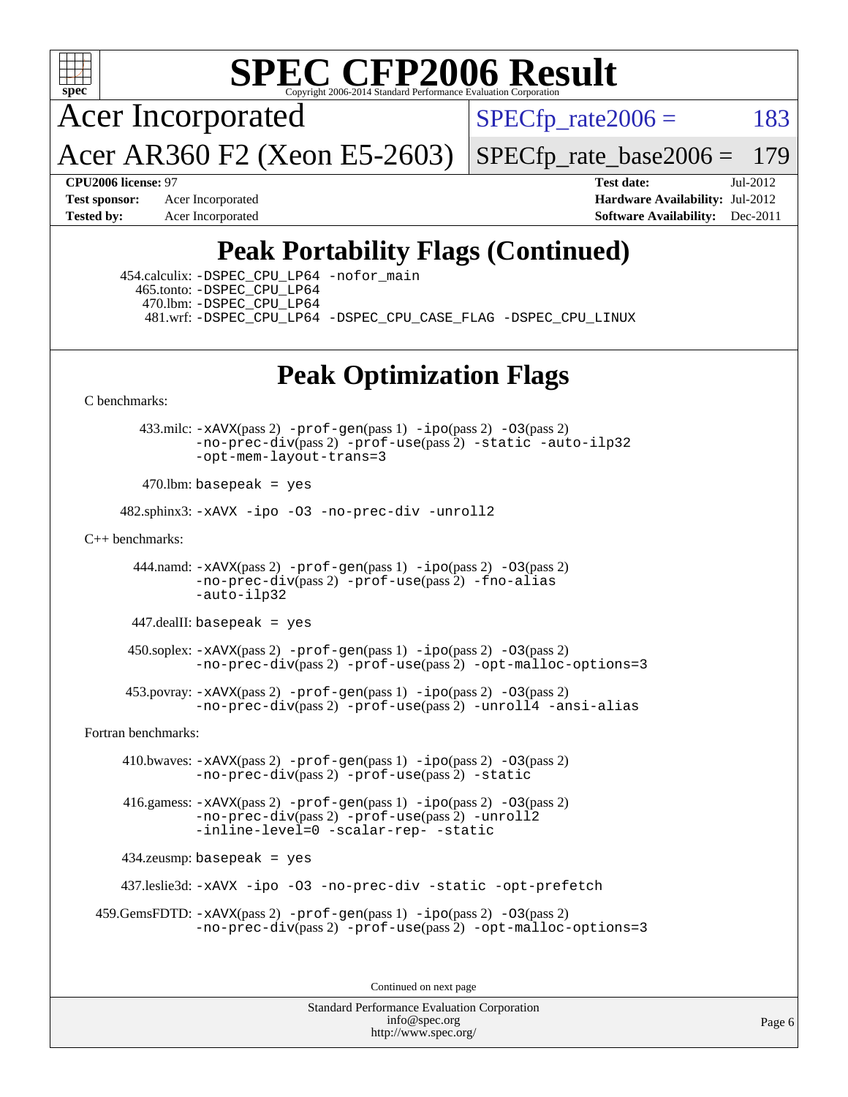

# **[SPEC CFP2006 Result](http://www.spec.org/auto/cpu2006/Docs/result-fields.html#SPECCFP2006Result)**

Acer Incorporated

 $SPECTp_rate2006 = 183$ 

Acer AR360 F2 (Xeon E5-2603)

 $SPECTp$  rate base  $2006 = 179$ 

**[CPU2006 license:](http://www.spec.org/auto/cpu2006/Docs/result-fields.html#CPU2006license)** 97 **[Test date:](http://www.spec.org/auto/cpu2006/Docs/result-fields.html#Testdate)** Jul-2012 **[Test sponsor:](http://www.spec.org/auto/cpu2006/Docs/result-fields.html#Testsponsor)** Acer Incorporated **Acer Incorporated <b>[Hardware Availability:](http://www.spec.org/auto/cpu2006/Docs/result-fields.html#HardwareAvailability)** Jul-2012 **[Tested by:](http://www.spec.org/auto/cpu2006/Docs/result-fields.html#Testedby)** Acer Incorporated **[Software Availability:](http://www.spec.org/auto/cpu2006/Docs/result-fields.html#SoftwareAvailability)** Dec-2011

# **[Peak Portability Flags \(Continued\)](http://www.spec.org/auto/cpu2006/Docs/result-fields.html#PeakPortabilityFlags)**

 454.calculix: [-DSPEC\\_CPU\\_LP64](http://www.spec.org/cpu2006/results/res2012q3/cpu2006-20120717-23776.flags.html#suite_peakPORTABILITY454_calculix_DSPEC_CPU_LP64) [-nofor\\_main](http://www.spec.org/cpu2006/results/res2012q3/cpu2006-20120717-23776.flags.html#user_peakLDPORTABILITY454_calculix_f-nofor_main) 465.tonto: [-DSPEC\\_CPU\\_LP64](http://www.spec.org/cpu2006/results/res2012q3/cpu2006-20120717-23776.flags.html#suite_peakPORTABILITY465_tonto_DSPEC_CPU_LP64) 470.lbm: [-DSPEC\\_CPU\\_LP64](http://www.spec.org/cpu2006/results/res2012q3/cpu2006-20120717-23776.flags.html#suite_peakPORTABILITY470_lbm_DSPEC_CPU_LP64) 481.wrf: [-DSPEC\\_CPU\\_LP64](http://www.spec.org/cpu2006/results/res2012q3/cpu2006-20120717-23776.flags.html#suite_peakPORTABILITY481_wrf_DSPEC_CPU_LP64) [-DSPEC\\_CPU\\_CASE\\_FLAG](http://www.spec.org/cpu2006/results/res2012q3/cpu2006-20120717-23776.flags.html#b481.wrf_peakCPORTABILITY_DSPEC_CPU_CASE_FLAG) [-DSPEC\\_CPU\\_LINUX](http://www.spec.org/cpu2006/results/res2012q3/cpu2006-20120717-23776.flags.html#b481.wrf_peakCPORTABILITY_DSPEC_CPU_LINUX)

## **[Peak Optimization Flags](http://www.spec.org/auto/cpu2006/Docs/result-fields.html#PeakOptimizationFlags)**

[C benchmarks](http://www.spec.org/auto/cpu2006/Docs/result-fields.html#Cbenchmarks):

 433.milc: [-xAVX](http://www.spec.org/cpu2006/results/res2012q3/cpu2006-20120717-23776.flags.html#user_peakPASS2_CFLAGSPASS2_LDFLAGS433_milc_f-xAVX)(pass 2) [-prof-gen](http://www.spec.org/cpu2006/results/res2012q3/cpu2006-20120717-23776.flags.html#user_peakPASS1_CFLAGSPASS1_LDFLAGS433_milc_prof_gen_e43856698f6ca7b7e442dfd80e94a8fc)(pass 1) [-ipo](http://www.spec.org/cpu2006/results/res2012q3/cpu2006-20120717-23776.flags.html#user_peakPASS2_CFLAGSPASS2_LDFLAGS433_milc_f-ipo)(pass 2) [-O3](http://www.spec.org/cpu2006/results/res2012q3/cpu2006-20120717-23776.flags.html#user_peakPASS2_CFLAGSPASS2_LDFLAGS433_milc_f-O3)(pass 2) [-no-prec-div](http://www.spec.org/cpu2006/results/res2012q3/cpu2006-20120717-23776.flags.html#user_peakPASS2_CFLAGSPASS2_LDFLAGS433_milc_f-no-prec-div)(pass 2) [-prof-use](http://www.spec.org/cpu2006/results/res2012q3/cpu2006-20120717-23776.flags.html#user_peakPASS2_CFLAGSPASS2_LDFLAGS433_milc_prof_use_bccf7792157ff70d64e32fe3e1250b55)(pass 2) [-static](http://www.spec.org/cpu2006/results/res2012q3/cpu2006-20120717-23776.flags.html#user_peakOPTIMIZE433_milc_f-static) [-auto-ilp32](http://www.spec.org/cpu2006/results/res2012q3/cpu2006-20120717-23776.flags.html#user_peakCOPTIMIZE433_milc_f-auto-ilp32) [-opt-mem-layout-trans=3](http://www.spec.org/cpu2006/results/res2012q3/cpu2006-20120717-23776.flags.html#user_peakCOPTIMIZE433_milc_f-opt-mem-layout-trans_a7b82ad4bd7abf52556d4961a2ae94d5)

 $470$ .lbm: basepeak = yes

482.sphinx3: [-xAVX](http://www.spec.org/cpu2006/results/res2012q3/cpu2006-20120717-23776.flags.html#user_peakOPTIMIZE482_sphinx3_f-xAVX) [-ipo](http://www.spec.org/cpu2006/results/res2012q3/cpu2006-20120717-23776.flags.html#user_peakOPTIMIZE482_sphinx3_f-ipo) [-O3](http://www.spec.org/cpu2006/results/res2012q3/cpu2006-20120717-23776.flags.html#user_peakOPTIMIZE482_sphinx3_f-O3) [-no-prec-div](http://www.spec.org/cpu2006/results/res2012q3/cpu2006-20120717-23776.flags.html#user_peakOPTIMIZE482_sphinx3_f-no-prec-div) [-unroll2](http://www.spec.org/cpu2006/results/res2012q3/cpu2006-20120717-23776.flags.html#user_peakCOPTIMIZE482_sphinx3_f-unroll_784dae83bebfb236979b41d2422d7ec2)

[C++ benchmarks:](http://www.spec.org/auto/cpu2006/Docs/result-fields.html#CXXbenchmarks)

 444.namd: [-xAVX](http://www.spec.org/cpu2006/results/res2012q3/cpu2006-20120717-23776.flags.html#user_peakPASS2_CXXFLAGSPASS2_LDFLAGS444_namd_f-xAVX)(pass 2) [-prof-gen](http://www.spec.org/cpu2006/results/res2012q3/cpu2006-20120717-23776.flags.html#user_peakPASS1_CXXFLAGSPASS1_LDFLAGS444_namd_prof_gen_e43856698f6ca7b7e442dfd80e94a8fc)(pass 1) [-ipo](http://www.spec.org/cpu2006/results/res2012q3/cpu2006-20120717-23776.flags.html#user_peakPASS2_CXXFLAGSPASS2_LDFLAGS444_namd_f-ipo)(pass 2) [-O3](http://www.spec.org/cpu2006/results/res2012q3/cpu2006-20120717-23776.flags.html#user_peakPASS2_CXXFLAGSPASS2_LDFLAGS444_namd_f-O3)(pass 2) [-no-prec-div](http://www.spec.org/cpu2006/results/res2012q3/cpu2006-20120717-23776.flags.html#user_peakPASS2_CXXFLAGSPASS2_LDFLAGS444_namd_f-no-prec-div)(pass 2) [-prof-use](http://www.spec.org/cpu2006/results/res2012q3/cpu2006-20120717-23776.flags.html#user_peakPASS2_CXXFLAGSPASS2_LDFLAGS444_namd_prof_use_bccf7792157ff70d64e32fe3e1250b55)(pass 2) [-fno-alias](http://www.spec.org/cpu2006/results/res2012q3/cpu2006-20120717-23776.flags.html#user_peakCXXOPTIMIZE444_namd_f-no-alias_694e77f6c5a51e658e82ccff53a9e63a) [-auto-ilp32](http://www.spec.org/cpu2006/results/res2012q3/cpu2006-20120717-23776.flags.html#user_peakCXXOPTIMIZE444_namd_f-auto-ilp32)

447.dealII: basepeak = yes

 $450$ .soplex:  $-x$ AVX(pass 2)  $-p$ rof-gen(pass 1)  $-i$ po(pass 2)  $-03$ (pass 2) [-no-prec-div](http://www.spec.org/cpu2006/results/res2012q3/cpu2006-20120717-23776.flags.html#user_peakPASS2_CXXFLAGSPASS2_LDFLAGS450_soplex_f-no-prec-div)(pass 2) [-prof-use](http://www.spec.org/cpu2006/results/res2012q3/cpu2006-20120717-23776.flags.html#user_peakPASS2_CXXFLAGSPASS2_LDFLAGS450_soplex_prof_use_bccf7792157ff70d64e32fe3e1250b55)(pass 2) [-opt-malloc-options=3](http://www.spec.org/cpu2006/results/res2012q3/cpu2006-20120717-23776.flags.html#user_peakOPTIMIZE450_soplex_f-opt-malloc-options_13ab9b803cf986b4ee62f0a5998c2238)

 453.povray: [-xAVX](http://www.spec.org/cpu2006/results/res2012q3/cpu2006-20120717-23776.flags.html#user_peakPASS2_CXXFLAGSPASS2_LDFLAGS453_povray_f-xAVX)(pass 2) [-prof-gen](http://www.spec.org/cpu2006/results/res2012q3/cpu2006-20120717-23776.flags.html#user_peakPASS1_CXXFLAGSPASS1_LDFLAGS453_povray_prof_gen_e43856698f6ca7b7e442dfd80e94a8fc)(pass 1) [-ipo](http://www.spec.org/cpu2006/results/res2012q3/cpu2006-20120717-23776.flags.html#user_peakPASS2_CXXFLAGSPASS2_LDFLAGS453_povray_f-ipo)(pass 2) [-O3](http://www.spec.org/cpu2006/results/res2012q3/cpu2006-20120717-23776.flags.html#user_peakPASS2_CXXFLAGSPASS2_LDFLAGS453_povray_f-O3)(pass 2) [-no-prec-div](http://www.spec.org/cpu2006/results/res2012q3/cpu2006-20120717-23776.flags.html#user_peakPASS2_CXXFLAGSPASS2_LDFLAGS453_povray_f-no-prec-div)(pass 2) [-prof-use](http://www.spec.org/cpu2006/results/res2012q3/cpu2006-20120717-23776.flags.html#user_peakPASS2_CXXFLAGSPASS2_LDFLAGS453_povray_prof_use_bccf7792157ff70d64e32fe3e1250b55)(pass 2) [-unroll4](http://www.spec.org/cpu2006/results/res2012q3/cpu2006-20120717-23776.flags.html#user_peakCXXOPTIMIZE453_povray_f-unroll_4e5e4ed65b7fd20bdcd365bec371b81f) [-ansi-alias](http://www.spec.org/cpu2006/results/res2012q3/cpu2006-20120717-23776.flags.html#user_peakCXXOPTIMIZE453_povray_f-ansi-alias)

[Fortran benchmarks](http://www.spec.org/auto/cpu2006/Docs/result-fields.html#Fortranbenchmarks):

 410.bwaves: [-xAVX](http://www.spec.org/cpu2006/results/res2012q3/cpu2006-20120717-23776.flags.html#user_peakPASS2_FFLAGSPASS2_LDFLAGS410_bwaves_f-xAVX)(pass 2) [-prof-gen](http://www.spec.org/cpu2006/results/res2012q3/cpu2006-20120717-23776.flags.html#user_peakPASS1_FFLAGSPASS1_LDFLAGS410_bwaves_prof_gen_e43856698f6ca7b7e442dfd80e94a8fc)(pass 1) [-ipo](http://www.spec.org/cpu2006/results/res2012q3/cpu2006-20120717-23776.flags.html#user_peakPASS2_FFLAGSPASS2_LDFLAGS410_bwaves_f-ipo)(pass 2) [-O3](http://www.spec.org/cpu2006/results/res2012q3/cpu2006-20120717-23776.flags.html#user_peakPASS2_FFLAGSPASS2_LDFLAGS410_bwaves_f-O3)(pass 2) [-no-prec-div](http://www.spec.org/cpu2006/results/res2012q3/cpu2006-20120717-23776.flags.html#user_peakPASS2_FFLAGSPASS2_LDFLAGS410_bwaves_f-no-prec-div)(pass 2) [-prof-use](http://www.spec.org/cpu2006/results/res2012q3/cpu2006-20120717-23776.flags.html#user_peakPASS2_FFLAGSPASS2_LDFLAGS410_bwaves_prof_use_bccf7792157ff70d64e32fe3e1250b55)(pass 2) [-static](http://www.spec.org/cpu2006/results/res2012q3/cpu2006-20120717-23776.flags.html#user_peakOPTIMIZE410_bwaves_f-static)

 416.gamess: [-xAVX](http://www.spec.org/cpu2006/results/res2012q3/cpu2006-20120717-23776.flags.html#user_peakPASS2_FFLAGSPASS2_LDFLAGS416_gamess_f-xAVX)(pass 2) [-prof-gen](http://www.spec.org/cpu2006/results/res2012q3/cpu2006-20120717-23776.flags.html#user_peakPASS1_FFLAGSPASS1_LDFLAGS416_gamess_prof_gen_e43856698f6ca7b7e442dfd80e94a8fc)(pass 1) [-ipo](http://www.spec.org/cpu2006/results/res2012q3/cpu2006-20120717-23776.flags.html#user_peakPASS2_FFLAGSPASS2_LDFLAGS416_gamess_f-ipo)(pass 2) [-O3](http://www.spec.org/cpu2006/results/res2012q3/cpu2006-20120717-23776.flags.html#user_peakPASS2_FFLAGSPASS2_LDFLAGS416_gamess_f-O3)(pass 2)  $-$ no-prec-div $(pass 2)$  [-prof-use](http://www.spec.org/cpu2006/results/res2012q3/cpu2006-20120717-23776.flags.html#user_peakPASS2_FFLAGSPASS2_LDFLAGS416_gamess_prof_use_bccf7792157ff70d64e32fe3e1250b55) $(pass 2)$  -unroll<sup>2</sup> [-inline-level=0](http://www.spec.org/cpu2006/results/res2012q3/cpu2006-20120717-23776.flags.html#user_peakOPTIMIZE416_gamess_f-inline-level_318d07a09274ad25e8d15dbfaa68ba50) [-scalar-rep-](http://www.spec.org/cpu2006/results/res2012q3/cpu2006-20120717-23776.flags.html#user_peakOPTIMIZE416_gamess_f-disablescalarrep_abbcad04450fb118e4809c81d83c8a1d) [-static](http://www.spec.org/cpu2006/results/res2012q3/cpu2006-20120717-23776.flags.html#user_peakOPTIMIZE416_gamess_f-static)

434.zeusmp: basepeak = yes

437.leslie3d: [-xAVX](http://www.spec.org/cpu2006/results/res2012q3/cpu2006-20120717-23776.flags.html#user_peakOPTIMIZE437_leslie3d_f-xAVX) [-ipo](http://www.spec.org/cpu2006/results/res2012q3/cpu2006-20120717-23776.flags.html#user_peakOPTIMIZE437_leslie3d_f-ipo) [-O3](http://www.spec.org/cpu2006/results/res2012q3/cpu2006-20120717-23776.flags.html#user_peakOPTIMIZE437_leslie3d_f-O3) [-no-prec-div](http://www.spec.org/cpu2006/results/res2012q3/cpu2006-20120717-23776.flags.html#user_peakOPTIMIZE437_leslie3d_f-no-prec-div) [-static](http://www.spec.org/cpu2006/results/res2012q3/cpu2006-20120717-23776.flags.html#user_peakOPTIMIZE437_leslie3d_f-static) [-opt-prefetch](http://www.spec.org/cpu2006/results/res2012q3/cpu2006-20120717-23776.flags.html#user_peakOPTIMIZE437_leslie3d_f-opt-prefetch)

```
 459.GemsFDTD: -xAVX(pass 2) -prof-gen(pass 1) -ipo(pass 2) -O3(pass 2)
  -no-prec-div(pass 2) -prof-use(pass 2) -opt-malloc-options=3
```
Continued on next page

Standard Performance Evaluation Corporation [info@spec.org](mailto:info@spec.org) <http://www.spec.org/>